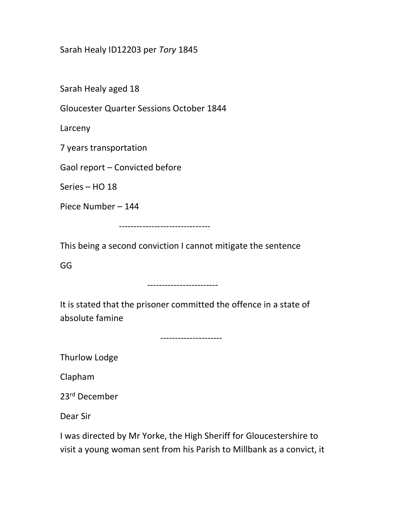## Sarah Healy ID12203 per Tory 1845

Sarah Healy aged 18

Gloucester Quarter Sessions October 1844

Larceny

7 years transportation

Gaol report – Convicted before

Series – HO 18

Piece Number – 144

-------------------------------

This being a second conviction I cannot mitigate the sentence

GG

## ------------------------

It is stated that the prisoner committed the offence in a state of absolute famine

---------------------

Thurlow Lodge

Clapham

23rd December

Dear Sir

I was directed by Mr Yorke, the High Sheriff for Gloucestershire to visit a young woman sent from his Parish to Millbank as a convict, it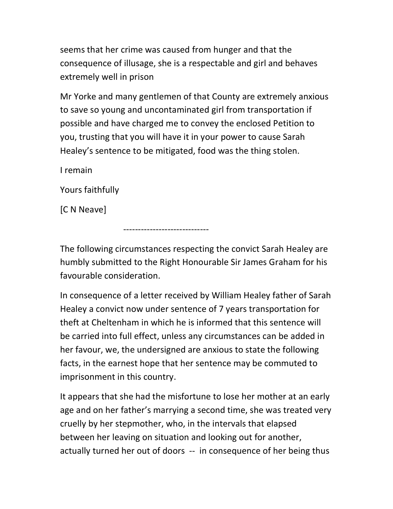seems that her crime was caused from hunger and that the consequence of illusage, she is a respectable and girl and behaves extremely well in prison

Mr Yorke and many gentlemen of that County are extremely anxious to save so young and uncontaminated girl from transportation if possible and have charged me to convey the enclosed Petition to you, trusting that you will have it in your power to cause Sarah Healey's sentence to be mitigated, food was the thing stolen.

I remain

Yours faithfully

[C N Neave]

The following circumstances respecting the convict Sarah Healey are humbly submitted to the Right Honourable Sir James Graham for his favourable consideration.

-----------------------------

In consequence of a letter received by William Healey father of Sarah Healey a convict now under sentence of 7 years transportation for theft at Cheltenham in which he is informed that this sentence will be carried into full effect, unless any circumstances can be added in her favour, we, the undersigned are anxious to state the following facts, in the earnest hope that her sentence may be commuted to imprisonment in this country.

It appears that she had the misfortune to lose her mother at an early age and on her father's marrying a second time, she was treated very cruelly by her stepmother, who, in the intervals that elapsed between her leaving on situation and looking out for another, actually turned her out of doors -- in consequence of her being thus